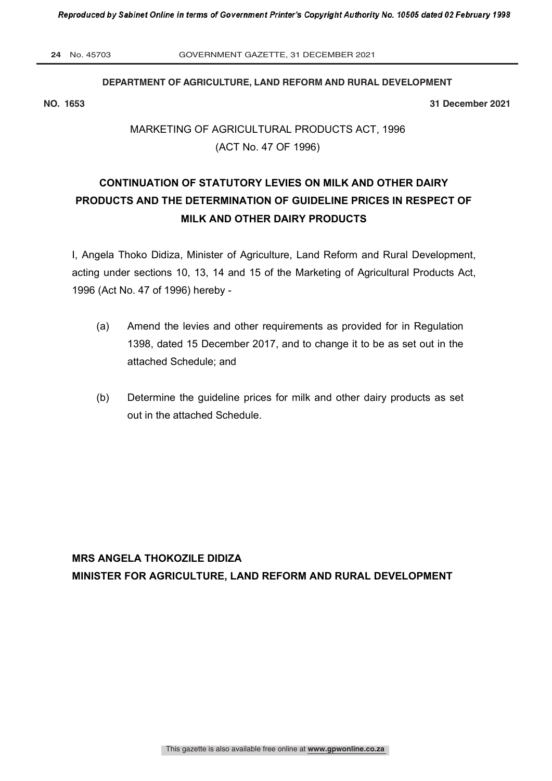**24** No. 45703 GOVERNMENT GAZETTE, 31 DECEMBER 2021

## **DEPARTMENT OF AGRICULTURE, LAND REFORM AND RURAL DEVELOPMENT**

**NO. 1653 31 December 2021**

# MARKETING OF AGRICULTURAL PRODUCTS ACT, 1996 (ACT No. 47 OF 1996)

# **CONTINUATION OF STATUTORY LEVIES ON MILK AND OTHER DAIRY PRODUCTS AND THE DETERMINATION OF GUIDELINE PRICES IN RESPECT OF MILK AND OTHER DAIRY PRODUCTS**

I, Angela Thoko Didiza, Minister of Agriculture, Land Reform and Rural Development, acting under sections 10, 13, 14 and 15 of the Marketing of Agricultural Products Act, 1996 (Act No. 47 of 1996) hereby -

- (a) Amend the levies and other requirements as provided for in Regulation 1398, dated 15 December 2017, and to change it to be as set out in the attached Schedule; and
- (b) Determine the guideline prices for milk and other dairy products as set out in the attached Schedule.

**MRS ANGELA THOKOZILE DIDIZA MINISTER FOR AGRICULTURE, LAND REFORM AND RURAL DEVELOPMENT**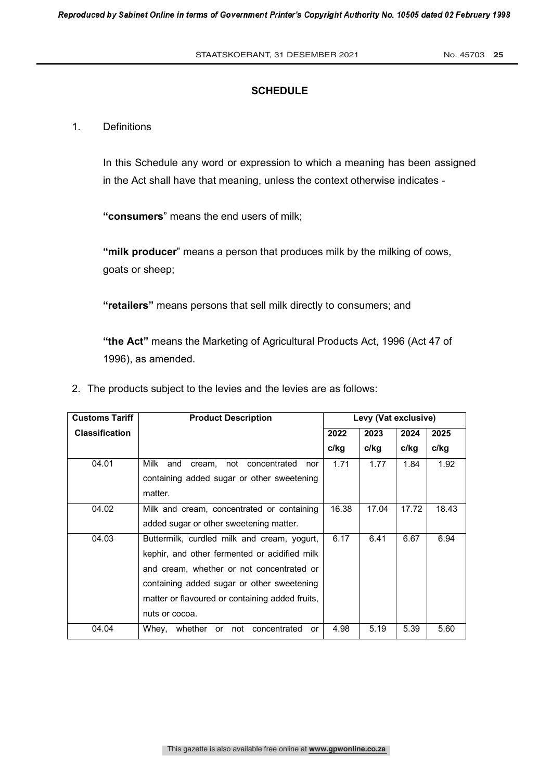# **SCHEDULE**

# 1. Definitions

In this Schedule any word or expression to which a meaning has been assigned in the Act shall have that meaning, unless the context otherwise indicates -

**"consumers**" means the end users of milk;

**"milk producer**" means a person that produces milk by the milking of cows, goats or sheep;

**"retailers"** means persons that sell milk directly to consumers; and

**"the Act"** means the Marketing of Agricultural Products Act, 1996 (Act 47 of 1996), as amended.

2. The products subject to the levies and the levies are as follows:

| <b>Customs Tariff</b> | <b>Product Description</b>                          | Levy (Vat exclusive) |       |       |       |
|-----------------------|-----------------------------------------------------|----------------------|-------|-------|-------|
| <b>Classification</b> |                                                     | 2022                 | 2023  | 2024  | 2025  |
|                       |                                                     | c/kg                 | c/kq  | c/kg  | c/kg  |
| 04.01                 | Milk<br>cream, not concentrated<br>and<br>nor       | 1.71                 | 1.77  | 1.84  | 1.92  |
|                       | containing added sugar or other sweetening          |                      |       |       |       |
|                       | matter.                                             |                      |       |       |       |
| 04.02                 | Milk and cream, concentrated or containing          | 16.38                | 17.04 | 17.72 | 18.43 |
|                       | added sugar or other sweetening matter.             |                      |       |       |       |
| 04.03                 | Buttermilk, curdled milk and cream, yogurt,         | 6.17                 | 6.41  | 6.67  | 6.94  |
|                       | kephir, and other fermented or acidified milk       |                      |       |       |       |
|                       | and cream, whether or not concentrated or           |                      |       |       |       |
|                       | containing added sugar or other sweetening          |                      |       |       |       |
|                       | matter or flavoured or containing added fruits,     |                      |       |       |       |
|                       | nuts or cocoa.                                      |                      |       |       |       |
| 04.04                 | Whev.<br>whether<br>concentrated<br>not<br>or<br>or | 4.98                 | 5.19  | 5.39  | 5.60  |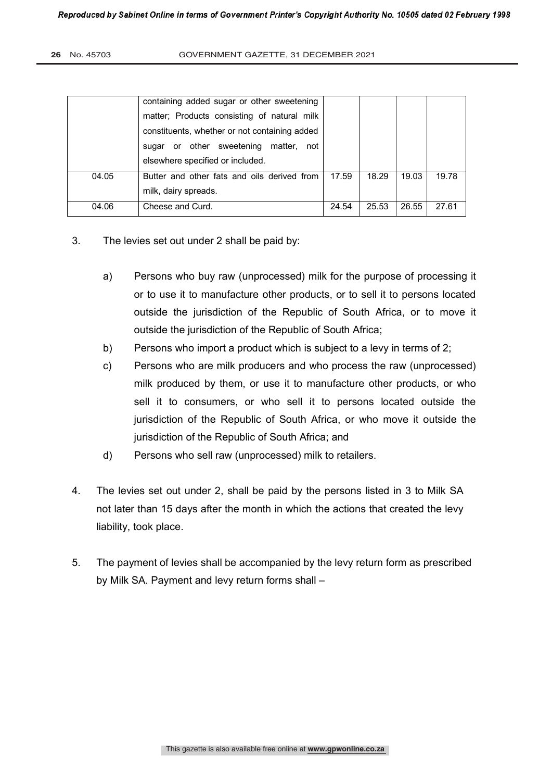|       | containing added sugar or other sweetening    |       |       |       |       |
|-------|-----------------------------------------------|-------|-------|-------|-------|
|       | matter; Products consisting of natural milk   |       |       |       |       |
|       | constituents, whether or not containing added |       |       |       |       |
|       | sugar or other sweetening<br>matter,<br>not   |       |       |       |       |
|       | elsewhere specified or included.              |       |       |       |       |
| 04.05 | Butter and other fats and oils derived from   | 17.59 | 18.29 | 19.03 | 19.78 |
|       | milk, dairy spreads.                          |       |       |       |       |
| 04.06 | Cheese and Curd.                              | 24.54 | 25.53 | 26.55 | 27.61 |

- 3. The levies set out under 2 shall be paid by:
	- a) Persons who buy raw (unprocessed) milk for the purpose of processing it or to use it to manufacture other products, or to sell it to persons located outside the jurisdiction of the Republic of South Africa, or to move it outside the jurisdiction of the Republic of South Africa;
	- b) Persons who import a product which is subject to a levy in terms of 2;
	- c) Persons who are milk producers and who process the raw (unprocessed) milk produced by them, or use it to manufacture other products, or who sell it to consumers, or who sell it to persons located outside the jurisdiction of the Republic of South Africa, or who move it outside the jurisdiction of the Republic of South Africa; and
	- d) Persons who sell raw (unprocessed) milk to retailers.
- 4. The levies set out under 2, shall be paid by the persons listed in 3 to Milk SA not later than 15 days after the month in which the actions that created the levy liability, took place.
- 5. The payment of levies shall be accompanied by the levy return form as prescribed by Milk SA. Payment and levy return forms shall –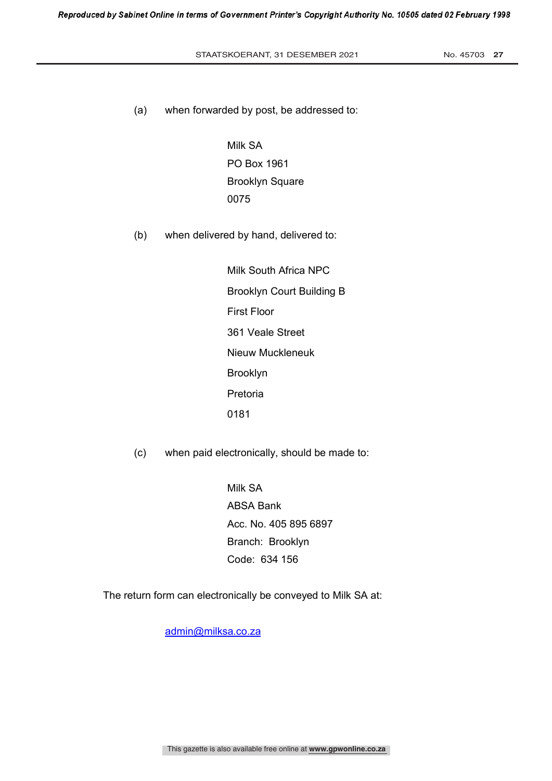### STAATSKOERANT, 31 DESEMBER 2021 No. 45703 27

(a) when forwarded by post, be addressed to:

 Milk SA PO Box 1961 Brooklyn Square 0075

(b) when delivered by hand, delivered to:

 Milk South Africa NPC Brooklyn Court Building B First Floor 361 Veale Street Nieuw Muckleneuk Brooklyn Pretoria 0181

(c) when paid electronically, should be made to:

 Milk SA ABSA Bank Acc. No. 405 895 6897 Branch: Brooklyn Code: 634 156

The return form can electronically be conveyed to Milk SA at:

admin@milksa.co.za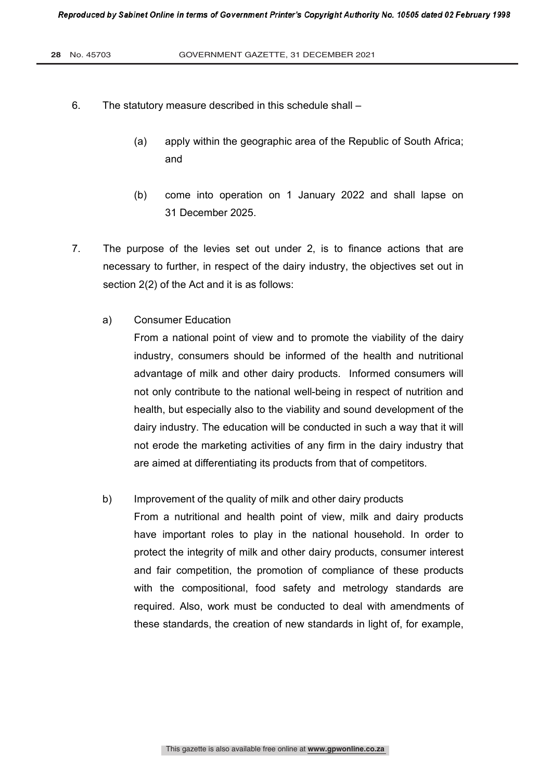- 6. The statutory measure described in this schedule shall
	- (a) apply within the geographic area of the Republic of South Africa; and
	- (b) come into operation on 1 January 2022 and shall lapse on 31 December 2025.
- 7. The purpose of the levies set out under 2, is to finance actions that are necessary to further, in respect of the dairy industry, the objectives set out in section 2(2) of the Act and it is as follows:
	- a) Consumer Education

From a national point of view and to promote the viability of the dairy industry, consumers should be informed of the health and nutritional advantage of milk and other dairy products. Informed consumers will not only contribute to the national well-being in respect of nutrition and health, but especially also to the viability and sound development of the dairy industry. The education will be conducted in such a way that it will not erode the marketing activities of any firm in the dairy industry that are aimed at differentiating its products from that of competitors.

# b) Improvement of the quality of milk and other dairy products

From a nutritional and health point of view, milk and dairy products have important roles to play in the national household. In order to protect the integrity of milk and other dairy products, consumer interest and fair competition, the promotion of compliance of these products with the compositional, food safety and metrology standards are required. Also, work must be conducted to deal with amendments of these standards, the creation of new standards in light of, for example,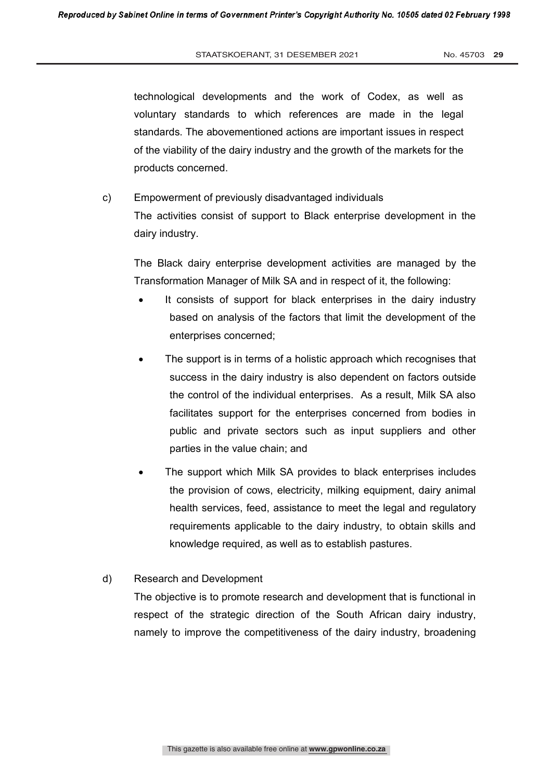technological developments and the work of Codex, as well as voluntary standards to which references are made in the legal standards. The abovementioned actions are important issues in respect of the viability of the dairy industry and the growth of the markets for the products concerned.

c) Empowerment of previously disadvantaged individuals The activities consist of support to Black enterprise development in the dairy industry.

The Black dairy enterprise development activities are managed by the Transformation Manager of Milk SA and in respect of it, the following:

- It consists of support for black enterprises in the dairy industry based on analysis of the factors that limit the development of the enterprises concerned;
- The support is in terms of a holistic approach which recognises that success in the dairy industry is also dependent on factors outside the control of the individual enterprises. As a result, Milk SA also facilitates support for the enterprises concerned from bodies in public and private sectors such as input suppliers and other parties in the value chain; and
- The support which Milk SA provides to black enterprises includes the provision of cows, electricity, milking equipment, dairy animal health services, feed, assistance to meet the legal and regulatory requirements applicable to the dairy industry, to obtain skills and knowledge required, as well as to establish pastures.
- d) Research and Development

The objective is to promote research and development that is functional in respect of the strategic direction of the South African dairy industry, namely to improve the competitiveness of the dairy industry, broadening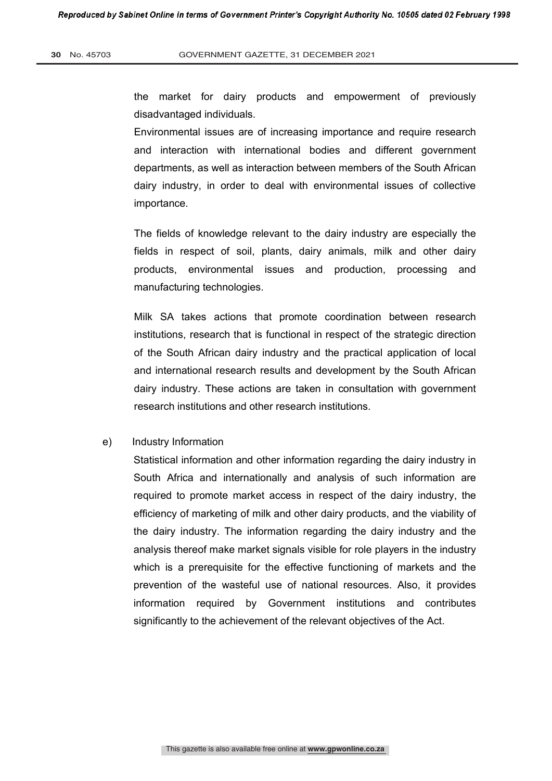the market for dairy products and empowerment of previously disadvantaged individuals.

Environmental issues are of increasing importance and require research and interaction with international bodies and different government departments, as well as interaction between members of the South African dairy industry, in order to deal with environmental issues of collective importance.

The fields of knowledge relevant to the dairy industry are especially the fields in respect of soil, plants, dairy animals, milk and other dairy products, environmental issues and production, processing and manufacturing technologies.

Milk SA takes actions that promote coordination between research institutions, research that is functional in respect of the strategic direction of the South African dairy industry and the practical application of local and international research results and development by the South African dairy industry. These actions are taken in consultation with government research institutions and other research institutions.

# e) Industry Information

Statistical information and other information regarding the dairy industry in South Africa and internationally and analysis of such information are required to promote market access in respect of the dairy industry, the efficiency of marketing of milk and other dairy products, and the viability of the dairy industry. The information regarding the dairy industry and the analysis thereof make market signals visible for role players in the industry which is a prerequisite for the effective functioning of markets and the prevention of the wasteful use of national resources. Also, it provides information required by Government institutions and contributes significantly to the achievement of the relevant objectives of the Act.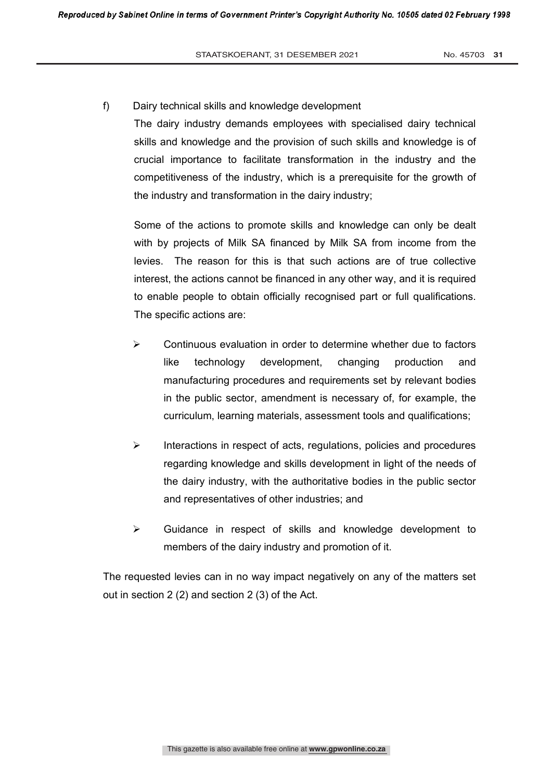# f) Dairy technical skills and knowledge development

The dairy industry demands employees with specialised dairy technical skills and knowledge and the provision of such skills and knowledge is of crucial importance to facilitate transformation in the industry and the competitiveness of the industry, which is a prerequisite for the growth of the industry and transformation in the dairy industry;

Some of the actions to promote skills and knowledge can only be dealt with by projects of Milk SA financed by Milk SA from income from the levies. The reason for this is that such actions are of true collective interest, the actions cannot be financed in any other way, and it is required to enable people to obtain officially recognised part or full qualifications. The specific actions are:

- $\triangleright$  Continuous evaluation in order to determine whether due to factors like technology development, changing production and manufacturing procedures and requirements set by relevant bodies in the public sector, amendment is necessary of, for example, the curriculum, learning materials, assessment tools and qualifications;
- $\triangleright$  Interactions in respect of acts, regulations, policies and procedures regarding knowledge and skills development in light of the needs of the dairy industry, with the authoritative bodies in the public sector and representatives of other industries; and
- $\triangleright$  Guidance in respect of skills and knowledge development to members of the dairy industry and promotion of it.

The requested levies can in no way impact negatively on any of the matters set out in section 2 (2) and section 2 (3) of the Act.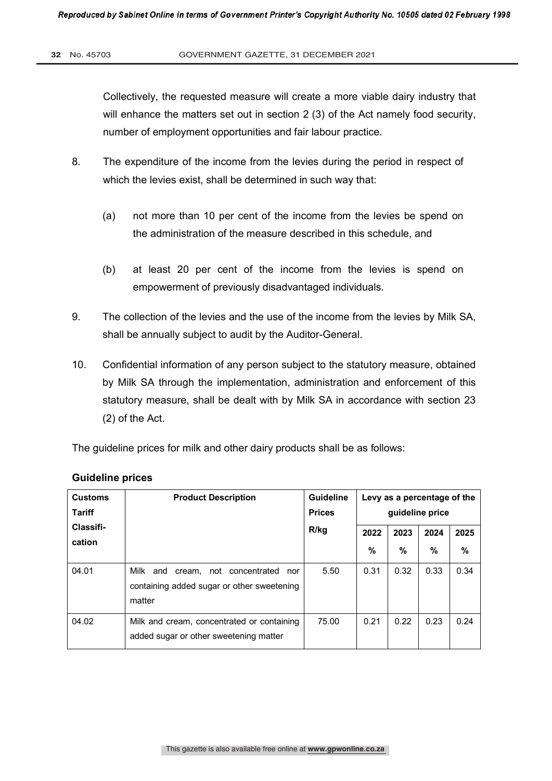Collectively, the requested measure will create a more viable dairy industry that will enhance the matters set out in section 2 (3) of the Act namely food security, number of employment opportunities and fair labour practice.

- 8. The expenditure of the income from the levies during the period in respect of which the levies exist, shall be determined in such way that:
	- (a) not more than 10 per cent of the income from the levies be spend on the administration of the measure described in this schedule, and
	- (b) at least 20 per cent of the income from the levies is spend on empowerment of previously disadvantaged individuals.
- 9. The collection of the levies and the use of the income from the levies by Milk SA, shall be annually subject to audit by the Auditor-General.
- 10. Confidential information of any person subject to the statutory measure, obtained by Milk SA through the implementation, administration and enforcement of this statutory measure, shall be dealt with by Milk SA in accordance with section 23 (2) of the Act.

The guideline prices for milk and other dairy products shall be as follows:

| <b>Customs</b><br>Tariff | <b>Product Description</b>                                                                         | Guideline<br><b>Prices</b> | Levy as a percentage of the<br>quideline price |               |               |      |
|--------------------------|----------------------------------------------------------------------------------------------------|----------------------------|------------------------------------------------|---------------|---------------|------|
| Classifi-                |                                                                                                    | R/kg                       | 2022                                           | 2023          | 2024          | 2025 |
| cation                   |                                                                                                    |                            | $\frac{0}{0}$                                  | $\frac{0}{0}$ | $\frac{0}{0}$ | %    |
| 04.01                    | Milk and<br>cream, not concentrated<br>nor<br>containing added sugar or other sweetening<br>matter | 5.50                       | 0.31                                           | 0.32          | 0.33          | 0.34 |
| 04.02                    | Milk and cream, concentrated or containing<br>added sugar or other sweetening matter               | 75.00                      | 0.21                                           | 0.22          | 0.23          | 0.24 |

# **Guideline prices**